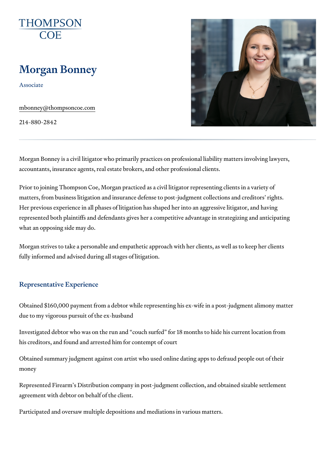# Morgan Bonney

Associate

[mbonney@thompso](mailto:mbonney@thompsoncoe.com)ncoe.com

214-880-2842

Morgan Bonney is a civil litigator who primarily practices on professional l accountants, insurance agents, real estate brokers, and other professional

Prior to joining Thompson Coe, Morgan practiced as a civil litigator repres matters, from business litigation and insurance defense to post-judgment of Her previous experience in all phases of litigation has shaped her into an represented both plaintiffs and defendants gives her a competitive advanta what an opposing side may do.

Morgan strives to take a personable and empathetic approach with her clie fully informed and advised during all stages of litigation.

#### Representative Experience

Obtained \$160,000 payment from a debtor while representing his ex-wife in due to my vigorous pursuit of the ex-husband

Investigated debtor who was on the run and couch surfed for 18 months to his creditors, and found and arrested him for contempt of court

Obtained summary judgment against con artist who used online dating apps money

Represented Firearm s Distribution company in post-judgment collection, a agreement with debtor on behalf of the client.

Participated and oversaw multiple depositions and mediations in various m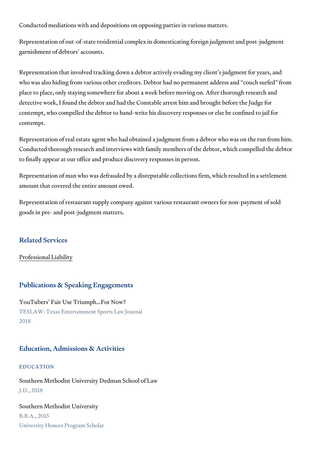Conducted mediations with and depositions on opposing parties in various

Representation of out-of-state residential complex in domesticating foreign garnishment of debtors accounts.

Representation that involved tracking down a debtor actively evading my c who was also hiding from various other creditors. Debtor had no permanen place to place, only staying somewhere for about a week before moving on detective work, I found the debtor and had the Constable arrest him and be contempt, who compelled the debtor to hand-write his discovery responses contempt.

Representation of real estate agent who had obtained a judgment from a debtor Representation of real estate agent who had obtained a judgment from a de Conducted thorough research and interviews with family members of the de to finally appear at our office and produce discovery responses in person.

Representation of man who was defrauded by a disreputable collections fir amount that covered the entire amount owed.

Representation of restaurant supply company against various restaurant ov goods in pre- and post-judgment matters.

## Related Services

[Professional](https://www.thompsoncoe.com/people/morgan-bonney/) Liability

# Publications & Speaking Engagements

YouTubers Fair Use Triumph &For Now? TESLAW: Texas Entertainment Sports Law Journal 2018

# Education, Admissions & Activities

## EDUCATION

Southern Methodist University Dedman School of Law J.D., 2018

Southern Methodist University B.B.A., 2015 University Honors Program Scholar